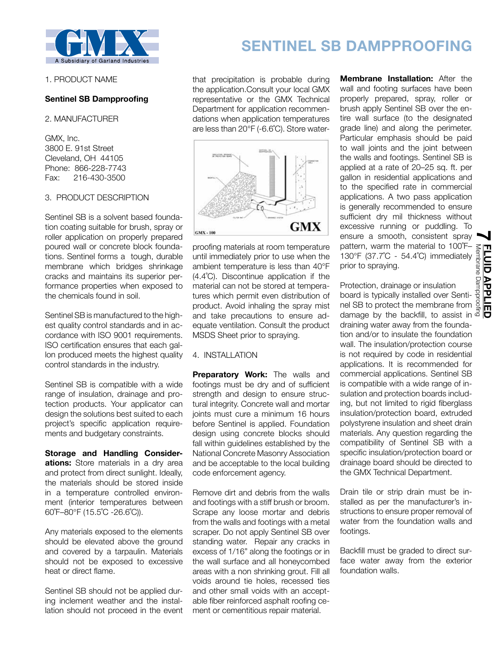

#### 1. PRODUCT NAME

# **Sentinel SB Dampproofing**

#### 2. MANUFACTURER

GMX, Inc. 3800 E. 91st Street Cleveland, OH 44105 Phone: 866-228-7743 Fax: 216-430-3500

# 3. PRODUCT DESCRIPTION

Sentinel SB is a solvent based foundation coating suitable for brush, spray or roller application on properly prepared poured wall or concrete block foundations. Sentinel forms a tough, durable membrane which bridges shrinkage cracks and maintains its superior performance properties when exposed to the chemicals found in soil.

Sentinel SB is manufactured to the highest quality control standards and in accordance with ISO 9001 requirements. ISO certification ensures that each gallon produced meets the highest quality control standards in the industry.

Sentinel SB is compatible with a wide range of insulation, drainage and protection products. Your applicator can design the solutions best suited to each project's specific application requirements and budgetary constraints.

**Storage and Handling Considerations:** Store materials in a dry area and protect from direct sunlight. Ideally, the materials should be stored inside in a temperature controlled environment (interior temperatures between 60˚F–80°F (15.5˚C -26.6˚C)).

Any materials exposed to the elements should be elevated above the ground and covered by a tarpaulin. Materials should not be exposed to excessive heat or direct flame.

Sentinel SB should not be applied during inclement weather and the installation should not proceed in the event

# **SENTINEL SB DAMPPROOFING**

that precipitation is probable during the application.Consult your local GMX representative or the GMX Technical Department for application recommendations when application temperatures are less than 20°F (-6.6˚C). Store water-



proofing materials at room temperature until immediately prior to use when the ambient temperature is less than 40°F (4.4˚C). Discontinue application if the material can not be stored at temperatures which permit even distribution of product. Avoid inhaling the spray mist and take precautions to ensure adequate ventilation. Consult the product MSDS Sheet prior to spraying.

# 4. INSTALLATION

**Preparatory Work:** The walls and footings must be dry and of sufficient strength and design to ensure structural integrity. Concrete wall and mortar joints must cure a minimum 16 hours before Sentinel is applied. Foundation design using concrete blocks should fall within guidelines established by the National Concrete Masonry Association and be acceptable to the local building code enforcement agency.

Remove dirt and debris from the walls and footings with a stiff brush or broom. Scrape any loose mortar and debris from the walls and footings with a metal scraper. Do not apply Sentinel SB over standing water. Repair any cracks in excess of 1/16" along the footings or in the wall surface and all honeycombed areas with a non shrinking grout. Fill all voids around tie holes, recessed ties and other small voids with an acceptable fiber reinforced asphalt roofing cement or cementitious repair material.

**Membrane Installation:** After the wall and footing surfaces have been properly prepared, spray, roller or brush apply Sentinel SB over the entire wall surface (to the designated grade line) and along the perimeter. Particular emphasis should be paid to wall joints and the joint between the walls and footings. Sentinel SB is applied at a rate of 20–25 sq. ft. per gallon in residential applications and to the specified rate in commercial applications. A two pass application is generally recommended to ensure sufficient dry mil thickness without excessive running or puddling. To ensure a smooth, consistent spray pattern, warm the material to 100˚F– prior to spraying.

130°F (37.7°C - 54.4°C) immediately and<br>prior to spraying.<br>Protection, drainage or insulation<br>board is typically installed over Senti-<br>nel SB to protect the membrane from all Protection, drainage or insulation board is typically installed over Sentinel SB to protect the membrane from damage by the backfill, to assist in  $\vec{a}$ draining water away from the foundation and/or to insulate the foundation wall. The insulation/protection course is not required by code in residential applications. It is recommended for commercial applications. Sentinel SB is compatible with a wide range of insulation and protection boards including, but not limited to rigid fiberglass insulation/protection board, extruded polystyrene insulation and sheet drain materials. Any question regarding the compatibility of Sentinel SB with a specific insulation/protection board or drainage board should be directed to the GMX Technical Department.

Drain tile or strip drain must be installed as per the manufacturer's instructions to ensure proper removal of water from the foundation walls and footings.

Backfill must be graded to direct surface water away from the exterior foundation walls.